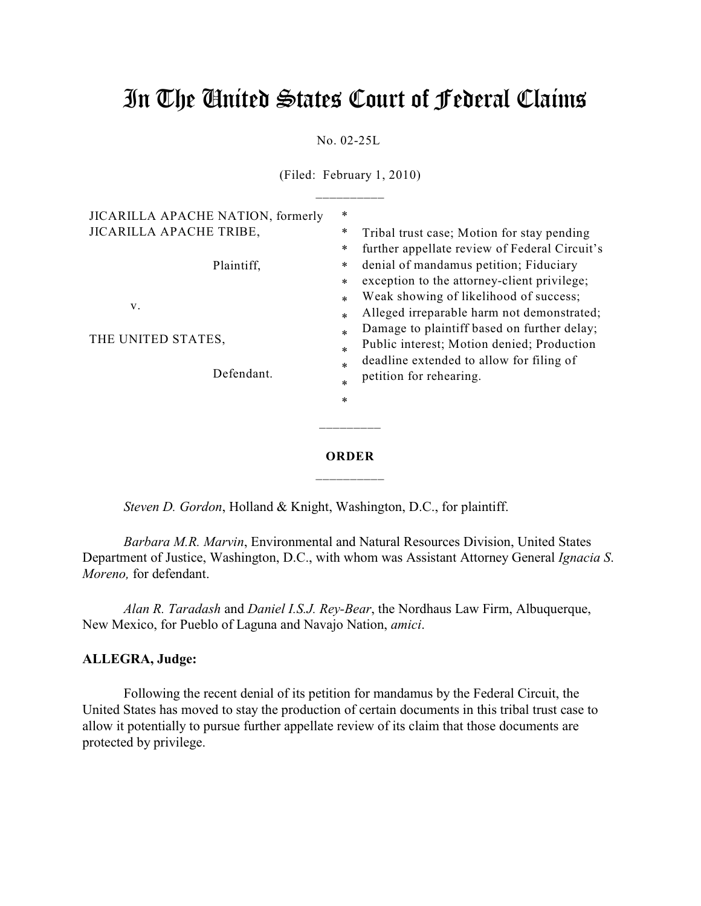## In The United States Court of Federal Claims

No. 02-25L

(Filed: February 1, 2010)

| V.<br>THE UNITED STATES,<br>Defendant.                                     | *<br>Weak showing of likelihood of success;<br>$\ast$<br>Alleged irreparable harm not demonstrated;<br>$\ast$<br>Damage to plaintiff based on further delay;<br>$\ast$<br>Public interest; Motion denied; Production<br>$\ast$<br>deadline extended to allow for filing of<br>*<br>petition for rehearing.<br>$\ast$<br>∗ |
|----------------------------------------------------------------------------|---------------------------------------------------------------------------------------------------------------------------------------------------------------------------------------------------------------------------------------------------------------------------------------------------------------------------|
| JICARILLA APACHE NATION, formerly<br>JICARILLA APACHE TRIBE,<br>Plaintiff, | Tribal trust case; Motion for stay pending<br>further appellate review of Federal Circuit's<br>denial of mandamus petition; Fiduciary<br>exception to the attorney-client privilege;                                                                                                                                      |

*Steven D. Gordon*, Holland & Knight, Washington, D.C., for plaintiff.

*Barbara M.R. Marvin*, Environmental and Natural Resources Division, United States Department of Justice, Washington, D.C., with whom was Assistant Attorney General *Ignacia S*. *Moreno,* for defendant.

*Alan R. Taradash* and *Daniel I.S.J. Rey-Bear*, the Nordhaus Law Firm, Albuquerque, New Mexico, for Pueblo of Laguna and Navajo Nation, *amici*.

## **ALLEGRA, Judge:**

Following the recent denial of its petition for mandamus by the Federal Circuit, the United States has moved to stay the production of certain documents in this tribal trust case to allow it potentially to pursue further appellate review of its claim that those documents are protected by privilege.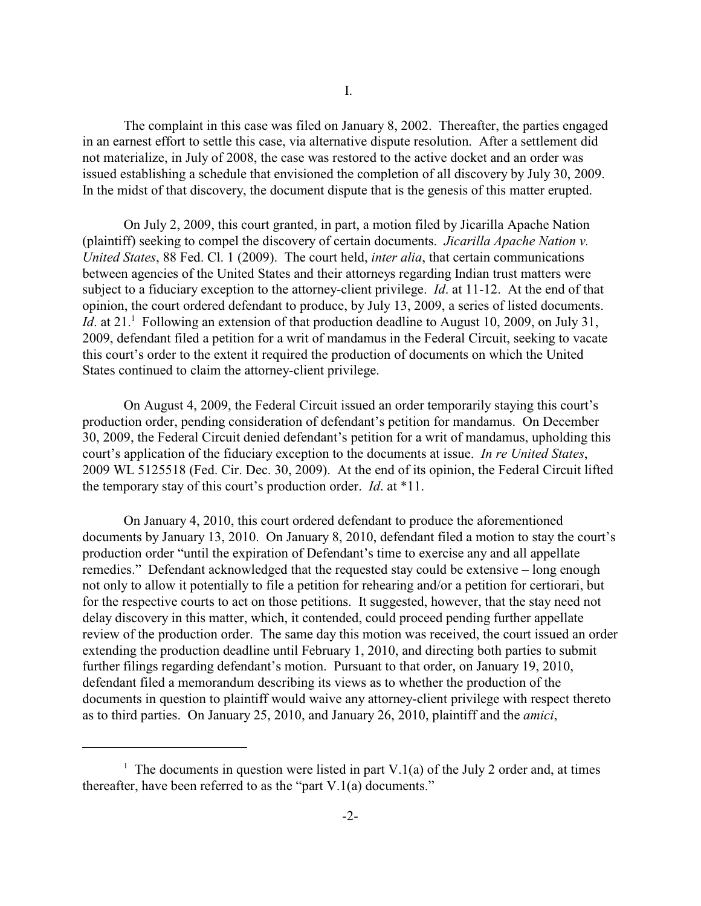The complaint in this case was filed on January 8, 2002. Thereafter, the parties engaged in an earnest effort to settle this case, via alternative dispute resolution. After a settlement did not materialize, in July of 2008, the case was restored to the active docket and an order was issued establishing a schedule that envisioned the completion of all discovery by July 30, 2009. In the midst of that discovery, the document dispute that is the genesis of this matter erupted.

On July 2, 2009, this court granted, in part, a motion filed by Jicarilla Apache Nation (plaintiff) seeking to compel the discovery of certain documents. *Jicarilla Apache Nation v. United States*, 88 Fed. Cl. 1 (2009). The court held, *inter alia*, that certain communications between agencies of the United States and their attorneys regarding Indian trust matters were subject to a fiduciary exception to the attorney-client privilege. *Id*. at 11-12. At the end of that opinion, the court ordered defendant to produce, by July 13, 2009, a series of listed documents. *Id.* at 21.<sup>1</sup> Following an extension of that production deadline to August 10, 2009, on July 31, 2009, defendant filed a petition for a writ of mandamus in the Federal Circuit, seeking to vacate this court's order to the extent it required the production of documents on which the United States continued to claim the attorney-client privilege.

On August 4, 2009, the Federal Circuit issued an order temporarily staying this court's production order, pending consideration of defendant's petition for mandamus. On December 30, 2009, the Federal Circuit denied defendant's petition for a writ of mandamus, upholding this court's application of the fiduciary exception to the documents at issue. *In re United States*, 2009 WL 5125518 (Fed. Cir. Dec. 30, 2009). At the end of its opinion, the Federal Circuit lifted the temporary stay of this court's production order. *Id*. at \*11.

On January 4, 2010, this court ordered defendant to produce the aforementioned documents by January 13, 2010. On January 8, 2010, defendant filed a motion to stay the court's production order "until the expiration of Defendant's time to exercise any and all appellate remedies." Defendant acknowledged that the requested stay could be extensive – long enough not only to allow it potentially to file a petition for rehearing and/or a petition for certiorari, but for the respective courts to act on those petitions. It suggested, however, that the stay need not delay discovery in this matter, which, it contended, could proceed pending further appellate review of the production order. The same day this motion was received, the court issued an order extending the production deadline until February 1, 2010, and directing both parties to submit further filings regarding defendant's motion. Pursuant to that order, on January 19, 2010, defendant filed a memorandum describing its views as to whether the production of the documents in question to plaintiff would waive any attorney-client privilege with respect thereto as to third parties. On January 25, 2010, and January 26, 2010, plaintiff and the *amici*,

<sup>&</sup>lt;sup>1</sup> The documents in question were listed in part V.1(a) of the July 2 order and, at times thereafter, have been referred to as the "part V.1(a) documents."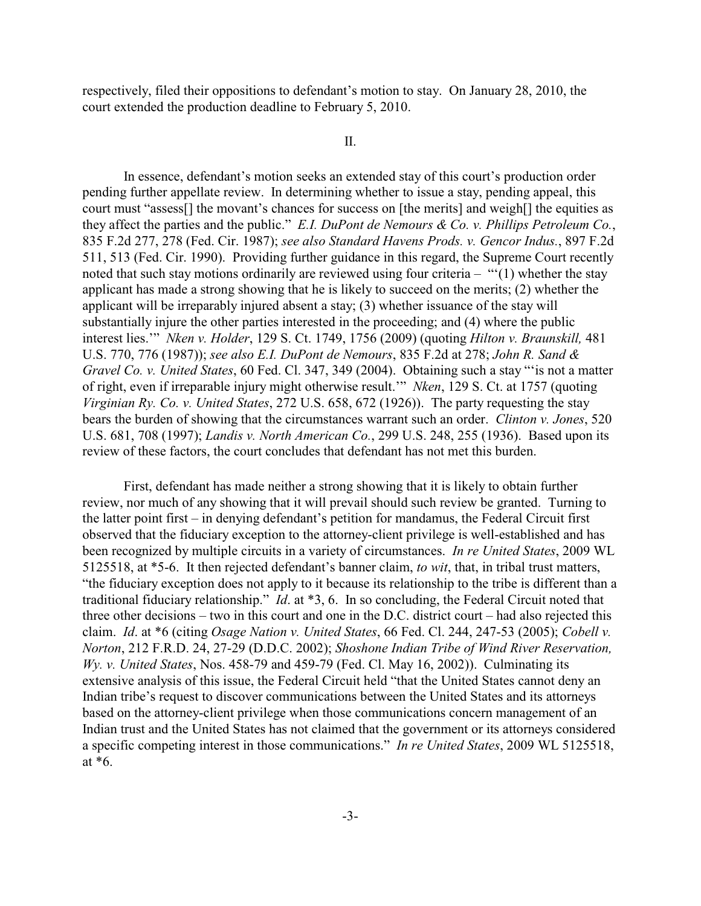respectively, filed their oppositions to defendant's motion to stay. On January 28, 2010, the court extended the production deadline to February 5, 2010.

II.

In essence, defendant's motion seeks an extended stay of this court's production order pending further appellate review. In determining whether to issue a stay, pending appeal, this court must "assess[] the movant's chances for success on [the merits] and weigh[] the equities as they affect the parties and the public." *E.I. DuPont de Nemours & Co. v. Phillips Petroleum Co.*, 835 F.2d 277, 278 (Fed. Cir. 1987); *see also Standard Havens Prods. v. Gencor Indus.*, 897 F.2d 511, 513 (Fed. Cir. 1990). Providing further guidance in this regard, the Supreme Court recently noted that such stay motions ordinarily are reviewed using four criteria – " $(1)$  whether the stay applicant has made a strong showing that he is likely to succeed on the merits; (2) whether the applicant will be irreparably injured absent a stay; (3) whether issuance of the stay will substantially injure the other parties interested in the proceeding; and (4) where the public interest lies.'" *Nken v. Holder*, 129 S. Ct. 1749, 1756 (2009) (quoting *Hilton v. Braunskill,* 481 U.S. 770, 776 (1987)); *see also E.I. DuPont de Nemours*, 835 F.2d at 278; *John R. Sand & Gravel Co. v. United States*, 60 Fed. Cl. 347, 349 (2004). Obtaining such a stay "'is not a matter of right, even if irreparable injury might otherwise result.'" *Nken*, 129 S. Ct. at 1757 (quoting *Virginian Ry. Co. v. United States*, 272 U.S. 658, 672 (1926)). The party requesting the stay bears the burden of showing that the circumstances warrant such an order. *Clinton v. Jones*, 520 U.S. 681, 708 (1997); *Landis v. North American Co.*, 299 U.S. 248, 255 (1936). Based upon its review of these factors, the court concludes that defendant has not met this burden.

First, defendant has made neither a strong showing that it is likely to obtain further review, nor much of any showing that it will prevail should such review be granted. Turning to the latter point first – in denying defendant's petition for mandamus, the Federal Circuit first observed that the fiduciary exception to the attorney-client privilege is well-established and has been recognized by multiple circuits in a variety of circumstances. *In re United States*, 2009 WL 5125518, at \*5-6. It then rejected defendant's banner claim, *to wit*, that, in tribal trust matters, "the fiduciary exception does not apply to it because its relationship to the tribe is different than a traditional fiduciary relationship." *Id*. at \*3, 6. In so concluding, the Federal Circuit noted that three other decisions – two in this court and one in the D.C. district court – had also rejected this claim. *Id*. at \*6 (citing *Osage Nation v. United States*, 66 Fed. Cl. 244, 247-53 (2005); *Cobell v. Norton*, 212 F.R.D. 24, 27-29 (D.D.C. 2002); *Shoshone Indian Tribe of Wind River Reservation, Wy. v. United States*, Nos. 458-79 and 459-79 (Fed. Cl. May 16, 2002)). Culminating its extensive analysis of this issue, the Federal Circuit held "that the United States cannot deny an Indian tribe's request to discover communications between the United States and its attorneys based on the attorney-client privilege when those communications concern management of an Indian trust and the United States has not claimed that the government or its attorneys considered a specific competing interest in those communications." *In re United States*, 2009 WL 5125518, at \*6.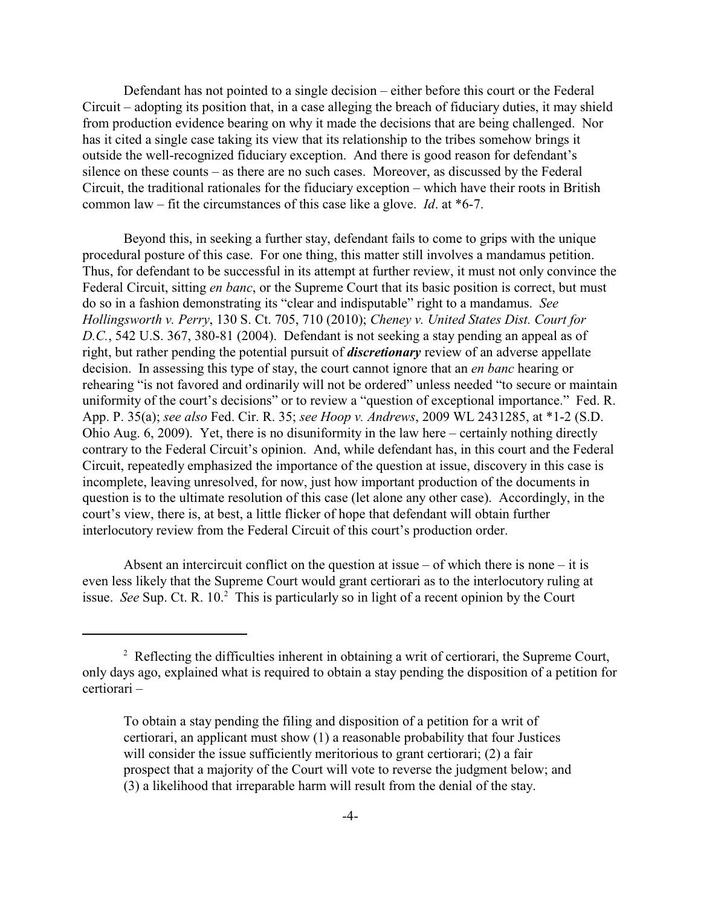Defendant has not pointed to a single decision – either before this court or the Federal Circuit – adopting its position that, in a case alleging the breach of fiduciary duties, it may shield from production evidence bearing on why it made the decisions that are being challenged. Nor has it cited a single case taking its view that its relationship to the tribes somehow brings it outside the well-recognized fiduciary exception. And there is good reason for defendant's silence on these counts – as there are no such cases. Moreover, as discussed by the Federal Circuit, the traditional rationales for the fiduciary exception – which have their roots in British common law – fit the circumstances of this case like a glove. *Id*. at \*6-7.

Beyond this, in seeking a further stay, defendant fails to come to grips with the unique procedural posture of this case. For one thing, this matter still involves a mandamus petition. Thus, for defendant to be successful in its attempt at further review, it must not only convince the Federal Circuit, sitting *en banc*, or the Supreme Court that its basic position is correct, but must do so in a fashion demonstrating its "clear and indisputable" right to a mandamus. *See Hollingsworth v. Perry*, 130 S. Ct. 705, 710 (2010); *Cheney v. United States Dist. Court for D.C.*, 542 U.S. 367, 380-81 (2004). Defendant is not seeking a stay pending an appeal as of right, but rather pending the potential pursuit of *discretionary* review of an adverse appellate decision. In assessing this type of stay, the court cannot ignore that an *en banc* hearing or rehearing "is not favored and ordinarily will not be ordered" unless needed "to secure or maintain uniformity of the court's decisions" or to review a "question of exceptional importance." Fed. R. App. P. 35(a); *see also* Fed. Cir. R. 35; *see Hoop v. Andrews*, 2009 WL 2431285, at \*1-2 (S.D. Ohio Aug. 6, 2009). Yet, there is no disuniformity in the law here – certainly nothing directly contrary to the Federal Circuit's opinion. And, while defendant has, in this court and the Federal Circuit, repeatedly emphasized the importance of the question at issue, discovery in this case is incomplete, leaving unresolved, for now, just how important production of the documents in question is to the ultimate resolution of this case (let alone any other case). Accordingly, in the court's view, there is, at best, a little flicker of hope that defendant will obtain further interlocutory review from the Federal Circuit of this court's production order.

Absent an intercircuit conflict on the question at issue  $-$  of which there is none  $-$  it is even less likely that the Supreme Court would grant certiorari as to the interlocutory ruling at issue. *See* Sup. Ct. R.  $10<sup>2</sup>$  This is particularly so in light of a recent opinion by the Court

 $2^2$  Reflecting the difficulties inherent in obtaining a writ of certiorari, the Supreme Court, only days ago, explained what is required to obtain a stay pending the disposition of a petition for certiorari –

To obtain a stay pending the filing and disposition of a petition for a writ of certiorari, an applicant must show (1) a reasonable probability that four Justices will consider the issue sufficiently meritorious to grant certiorari; (2) a fair prospect that a majority of the Court will vote to reverse the judgment below; and (3) a likelihood that irreparable harm will result from the denial of the stay.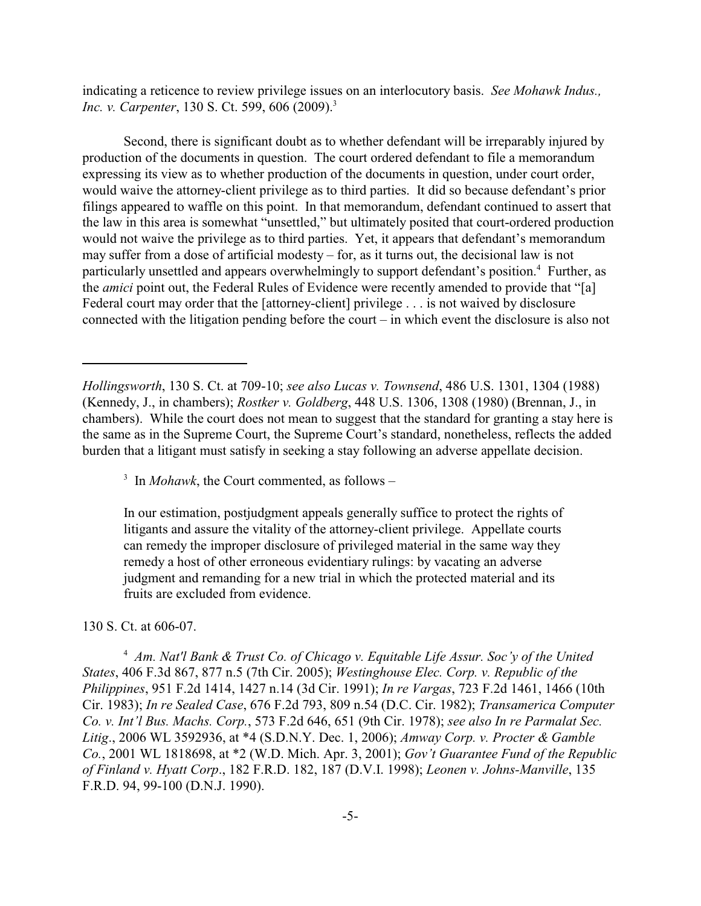indicating a reticence to review privilege issues on an interlocutory basis. *See Mohawk Indus., Inc. v. Carpenter*, 130 S. Ct. 599, 606 (2009).<sup>3</sup>

Second, there is significant doubt as to whether defendant will be irreparably injured by production of the documents in question. The court ordered defendant to file a memorandum expressing its view as to whether production of the documents in question, under court order, would waive the attorney-client privilege as to third parties. It did so because defendant's prior filings appeared to waffle on this point. In that memorandum, defendant continued to assert that the law in this area is somewhat "unsettled," but ultimately posited that court-ordered production would not waive the privilege as to third parties. Yet, it appears that defendant's memorandum may suffer from a dose of artificial modesty – for, as it turns out, the decisional law is not particularly unsettled and appears overwhelmingly to support defendant's position.<sup>4</sup> Further, as the *amici* point out, the Federal Rules of Evidence were recently amended to provide that "[a] Federal court may order that the [attorney-client] privilege . . . is not waived by disclosure connected with the litigation pending before the court – in which event the disclosure is also not

 $\frac{3}{3}$  In *Mohawk*, the Court commented, as follows –

In our estimation, postjudgment appeals generally suffice to protect the rights of litigants and assure the vitality of the attorney-client privilege. Appellate courts can remedy the improper disclosure of privileged material in the same way they remedy a host of other erroneous evidentiary rulings: by vacating an adverse judgment and remanding for a new trial in which the protected material and its fruits are excluded from evidence.

## 130 S. Ct. at 606-07.

<sup>4</sup> Am. Nat'l Bank & Trust Co. of Chicago v. Equitable Life Assur. Soc'y of the United *States*, 406 F.3d 867, 877 n.5 (7th Cir. 2005); *Westinghouse Elec. Corp. v. Republic of the Philippines*, 951 F.2d 1414, 1427 n.14 (3d Cir. 1991); *In re Vargas*, 723 F.2d 1461, 1466 (10th Cir. 1983); *In re Sealed Case*, 676 F.2d 793, 809 n.54 (D.C. Cir. 1982); *Transamerica Computer Co. v. Int'l Bus. Machs. Corp.*, 573 F.2d 646, 651 (9th Cir. 1978); *see also In re Parmalat Sec. Litig*., 2006 WL 3592936, at \*4 (S.D.N.Y. Dec. 1, 2006); *Amway Corp. v. Procter & Gamble Co.*, 2001 WL 1818698, at \*2 (W.D. Mich. Apr. 3, 2001); *Gov't Guarantee Fund of the Republic of Finland v. Hyatt Corp*., 182 F.R.D. 182, 187 (D.V.I. 1998); *Leonen v. Johns-Manville*, 135 F.R.D. 94, 99-100 (D.N.J. 1990).

*Hollingsworth*, 130 S. Ct. at 709-10; *see also Lucas v. Townsend*, 486 U.S. 1301, 1304 (1988) (Kennedy, J., in chambers); *Rostker v. Goldberg*, 448 U.S. 1306, 1308 (1980) (Brennan, J., in chambers). While the court does not mean to suggest that the standard for granting a stay here is the same as in the Supreme Court, the Supreme Court's standard, nonetheless, reflects the added burden that a litigant must satisfy in seeking a stay following an adverse appellate decision.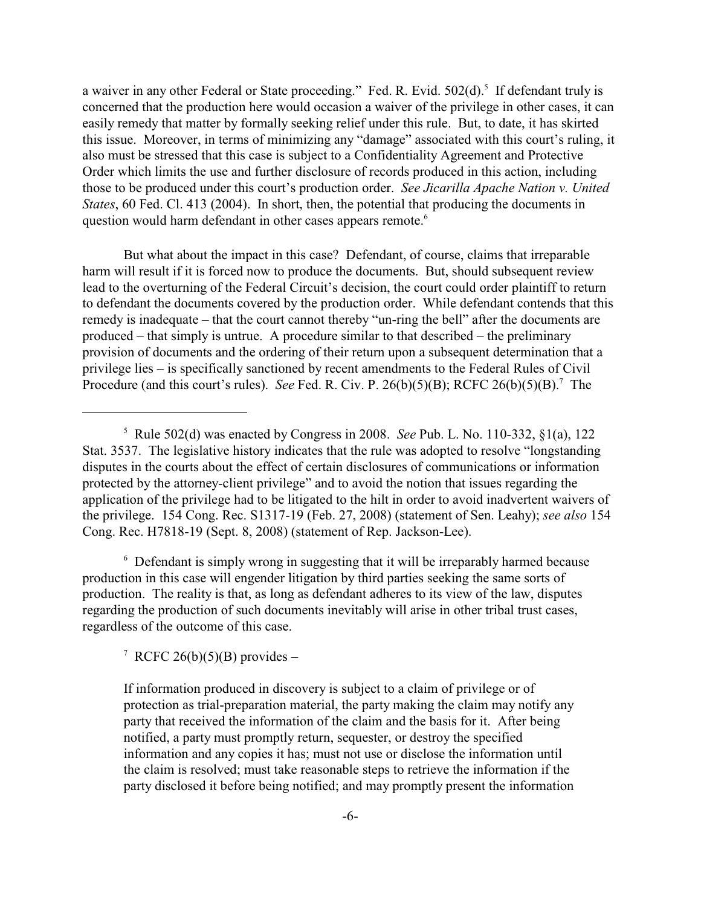a waiver in any other Federal or State proceeding." Fed. R. Evid. 502(d).<sup>5</sup> If defendant truly is concerned that the production here would occasion a waiver of the privilege in other cases, it can easily remedy that matter by formally seeking relief under this rule. But, to date, it has skirted this issue. Moreover, in terms of minimizing any "damage" associated with this court's ruling, it also must be stressed that this case is subject to a Confidentiality Agreement and Protective Order which limits the use and further disclosure of records produced in this action, including those to be produced under this court's production order. *See Jicarilla Apache Nation v. United States*, 60 Fed. Cl. 413 (2004). In short, then, the potential that producing the documents in question would harm defendant in other cases appears remote.<sup>6</sup>

But what about the impact in this case? Defendant, of course, claims that irreparable harm will result if it is forced now to produce the documents. But, should subsequent review lead to the overturning of the Federal Circuit's decision, the court could order plaintiff to return to defendant the documents covered by the production order. While defendant contends that this remedy is inadequate – that the court cannot thereby "un-ring the bell" after the documents are produced – that simply is untrue. A procedure similar to that described – the preliminary provision of documents and the ordering of their return upon a subsequent determination that a privilege lies – is specifically sanctioned by recent amendments to the Federal Rules of Civil Procedure (and this court's rules). *See* Fed. R. Civ. P. 26(b)(5)(B); RCFC 26(b)(5)(B).<sup>7</sup> The

<sup>6</sup> Defendant is simply wrong in suggesting that it will be irreparably harmed because production in this case will engender litigation by third parties seeking the same sorts of production. The reality is that, as long as defendant adheres to its view of the law, disputes regarding the production of such documents inevitably will arise in other tribal trust cases, regardless of the outcome of this case.

<sup>7</sup> RCFC 26(b)(5)(B) provides –

 $\frac{5}{10}$  Rule 502(d) was enacted by Congress in 2008. *See* Pub. L. No. 110-332, §1(a), 122 Stat. 3537. The legislative history indicates that the rule was adopted to resolve "longstanding disputes in the courts about the effect of certain disclosures of communications or information protected by the attorney-client privilege" and to avoid the notion that issues regarding the application of the privilege had to be litigated to the hilt in order to avoid inadvertent waivers of the privilege. 154 Cong. Rec. S1317-19 (Feb. 27, 2008) (statement of Sen. Leahy); *see also* 154 Cong. Rec. H7818-19 (Sept. 8, 2008) (statement of Rep. Jackson-Lee).

If information produced in discovery is subject to a claim of privilege or of protection as trial-preparation material, the party making the claim may notify any party that received the information of the claim and the basis for it. After being notified, a party must promptly return, sequester, or destroy the specified information and any copies it has; must not use or disclose the information until the claim is resolved; must take reasonable steps to retrieve the information if the party disclosed it before being notified; and may promptly present the information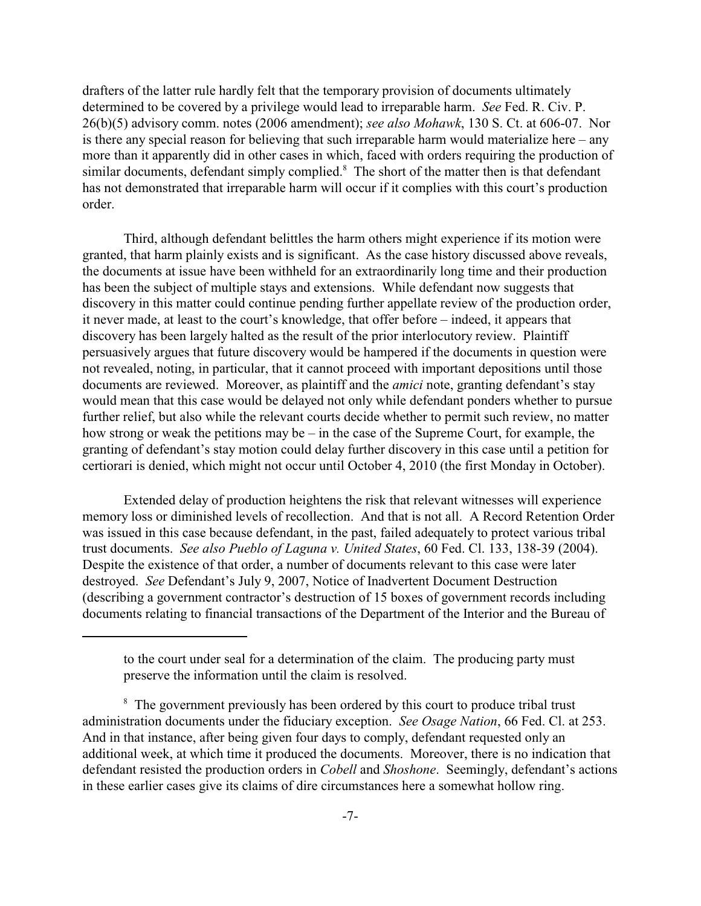drafters of the latter rule hardly felt that the temporary provision of documents ultimately determined to be covered by a privilege would lead to irreparable harm. *See* Fed. R. Civ. P. 26(b)(5) advisory comm. notes (2006 amendment); *see also Mohawk*, 130 S. Ct. at 606-07. Nor is there any special reason for believing that such irreparable harm would materialize here – any more than it apparently did in other cases in which, faced with orders requiring the production of similar documents, defendant simply complied.<sup>8</sup> The short of the matter then is that defendant has not demonstrated that irreparable harm will occur if it complies with this court's production order.

Third, although defendant belittles the harm others might experience if its motion were granted, that harm plainly exists and is significant. As the case history discussed above reveals, the documents at issue have been withheld for an extraordinarily long time and their production has been the subject of multiple stays and extensions. While defendant now suggests that discovery in this matter could continue pending further appellate review of the production order, it never made, at least to the court's knowledge, that offer before – indeed, it appears that discovery has been largely halted as the result of the prior interlocutory review. Plaintiff persuasively argues that future discovery would be hampered if the documents in question were not revealed, noting, in particular, that it cannot proceed with important depositions until those documents are reviewed. Moreover, as plaintiff and the *amici* note, granting defendant's stay would mean that this case would be delayed not only while defendant ponders whether to pursue further relief, but also while the relevant courts decide whether to permit such review, no matter how strong or weak the petitions may be – in the case of the Supreme Court, for example, the granting of defendant's stay motion could delay further discovery in this case until a petition for certiorari is denied, which might not occur until October 4, 2010 (the first Monday in October).

Extended delay of production heightens the risk that relevant witnesses will experience memory loss or diminished levels of recollection. And that is not all. A Record Retention Order was issued in this case because defendant, in the past, failed adequately to protect various tribal trust documents. *See also Pueblo of Laguna v. United States*, 60 Fed. Cl. 133, 138-39 (2004). Despite the existence of that order, a number of documents relevant to this case were later destroyed. *See* Defendant's July 9, 2007, Notice of Inadvertent Document Destruction (describing a government contractor's destruction of 15 boxes of government records including documents relating to financial transactions of the Department of the Interior and the Bureau of

to the court under seal for a determination of the claim. The producing party must preserve the information until the claim is resolved.

<sup>&</sup>lt;sup>8</sup> The government previously has been ordered by this court to produce tribal trust administration documents under the fiduciary exception. *See Osage Nation*, 66 Fed. Cl. at 253. And in that instance, after being given four days to comply, defendant requested only an additional week, at which time it produced the documents. Moreover, there is no indication that defendant resisted the production orders in *Cobell* and *Shoshone*. Seemingly, defendant's actions in these earlier cases give its claims of dire circumstances here a somewhat hollow ring.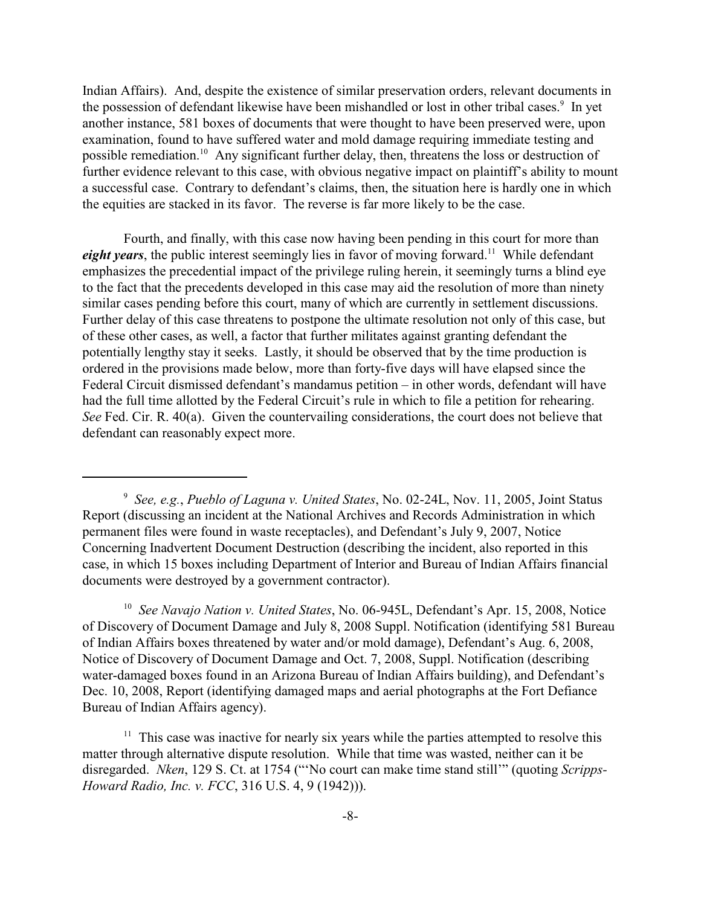Indian Affairs). And, despite the existence of similar preservation orders, relevant documents in the possession of defendant likewise have been mishandled or lost in other tribal cases.<sup>9</sup> In yet another instance, 581 boxes of documents that were thought to have been preserved were, upon examination, found to have suffered water and mold damage requiring immediate testing and possible remediation.<sup>10</sup> Any significant further delay, then, threatens the loss or destruction of further evidence relevant to this case, with obvious negative impact on plaintiff's ability to mount a successful case. Contrary to defendant's claims, then, the situation here is hardly one in which the equities are stacked in its favor. The reverse is far more likely to be the case.

Fourth, and finally, with this case now having been pending in this court for more than *eight years*, the public interest seemingly lies in favor of moving forward.<sup>11</sup> While defendant emphasizes the precedential impact of the privilege ruling herein, it seemingly turns a blind eye to the fact that the precedents developed in this case may aid the resolution of more than ninety similar cases pending before this court, many of which are currently in settlement discussions. Further delay of this case threatens to postpone the ultimate resolution not only of this case, but of these other cases, as well, a factor that further militates against granting defendant the potentially lengthy stay it seeks. Lastly, it should be observed that by the time production is ordered in the provisions made below, more than forty-five days will have elapsed since the Federal Circuit dismissed defendant's mandamus petition – in other words, defendant will have had the full time allotted by the Federal Circuit's rule in which to file a petition for rehearing. *See* Fed. Cir. R. 40(a). Given the countervailing considerations, the court does not believe that defendant can reasonably expect more.

<sup>10</sup> See Navajo Nation v. United States, No. 06-945L, Defendant's Apr. 15, 2008, Notice of Discovery of Document Damage and July 8, 2008 Suppl. Notification (identifying 581 Bureau of Indian Affairs boxes threatened by water and/or mold damage), Defendant's Aug. 6, 2008, Notice of Discovery of Document Damage and Oct. 7, 2008, Suppl. Notification (describing water-damaged boxes found in an Arizona Bureau of Indian Affairs building), and Defendant's Dec. 10, 2008, Report (identifying damaged maps and aerial photographs at the Fort Defiance Bureau of Indian Affairs agency).

 $11$  This case was inactive for nearly six years while the parties attempted to resolve this matter through alternative dispute resolution. While that time was wasted, neither can it be disregarded. *Nken*, 129 S. Ct. at 1754 ("'No court can make time stand still'" (quoting *Scripps-Howard Radio, Inc. v. FCC*, 316 U.S. 4, 9 (1942))).

*See, e.g.*, *Pueblo of Laguna v. United States*, No. 02-24L, Nov. 11, 2005, Joint Status <sup>9</sup> Report (discussing an incident at the National Archives and Records Administration in which permanent files were found in waste receptacles), and Defendant's July 9, 2007, Notice Concerning Inadvertent Document Destruction (describing the incident, also reported in this case, in which 15 boxes including Department of Interior and Bureau of Indian Affairs financial documents were destroyed by a government contractor).